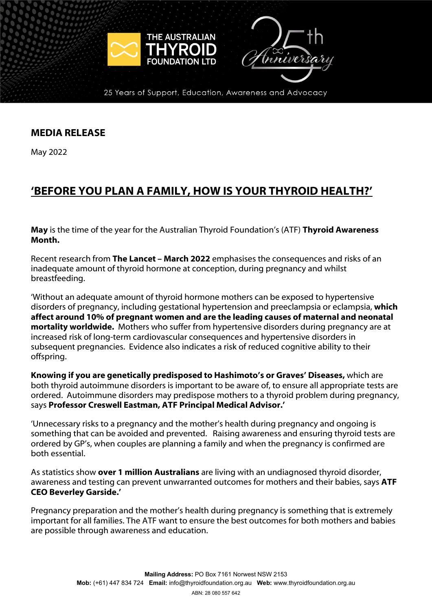

25 Years of Support, Education, Awareness and Advocacy

## **MEDIA RELEASE**

May 2022

# **'BEFORE YOU PLAN A FAMILY, HOW IS YOUR THYROID HEALTH?'**

**May** is the time of the year for the Australian Thyroid Foundation's (ATF) **Thyroid Awareness Month.** 

Recent research from **The Lancet – March 2022** emphasises the consequences and risks of an inadequate amount of thyroid hormone at conception, during pregnancy and whilst breastfeeding.

'Without an adequate amount of thyroid hormone mothers can be exposed to hypertensive disorders of pregnancy, including gestational hypertension and preeclampsia or eclampsia, **which affect around 10% of pregnant women and are the leading causes of maternal and neonatal mortality worldwide.** Mothers who suffer from hypertensive disorders during pregnancy are at increased risk of long-term cardiovascular consequences and hypertensive disorders in subsequent pregnancies. Evidence also indicates a risk of reduced cognitive ability to their offspring.

**Knowing if you are genetically predisposed to Hashimoto's or Graves' Diseases,** which are both thyroid autoimmune disorders is important to be aware of, to ensure all appropriate tests are ordered. Autoimmune disorders may predispose mothers to a thyroid problem during pregnancy, says **Professor Creswell Eastman, ATF Principal Medical Advisor.'**

'Unnecessary risks to a pregnancy and the mother's health during pregnancy and ongoing is something that can be avoided and prevented. Raising awareness and ensuring thyroid tests are ordered by GP's, when couples are planning a family and when the pregnancy is confirmed are both essential.

As statistics show **over 1 million Australians** are living with an undiagnosed thyroid disorder, awareness and testing can prevent unwarranted outcomes for mothers and their babies, says **ATF CEO Beverley Garside.'**

Pregnancy preparation and the mother's health during pregnancy is something that is extremely important for all families. The ATF want to ensure the best outcomes for both mothers and babies are possible through awareness and education.